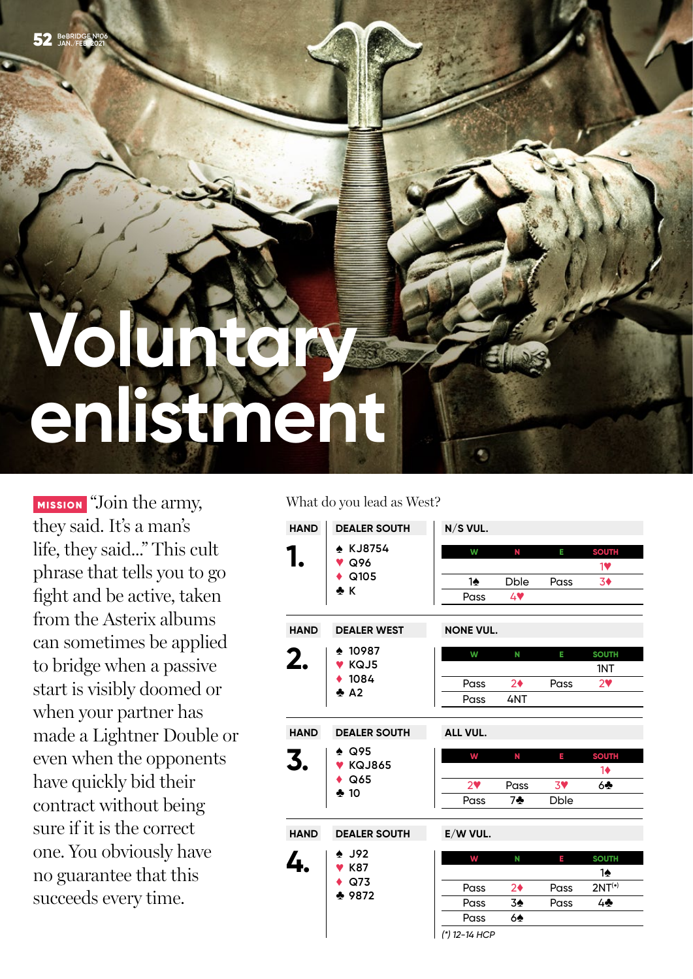# **Voluntary enlistment**

MISSION "Join the army, they said. It's a man's life, they said..." This cult phrase that tells you to go fight and be active, taken from the Asterix albums can sometimes be applied to bridge when a passive start is visibly doomed or when your partner has made a Lightner Double or even when the opponents have quickly bid their contract without being sure if it is the correct one. You obviously have no guarantee that this succeeds every time.

What do you lead as West?

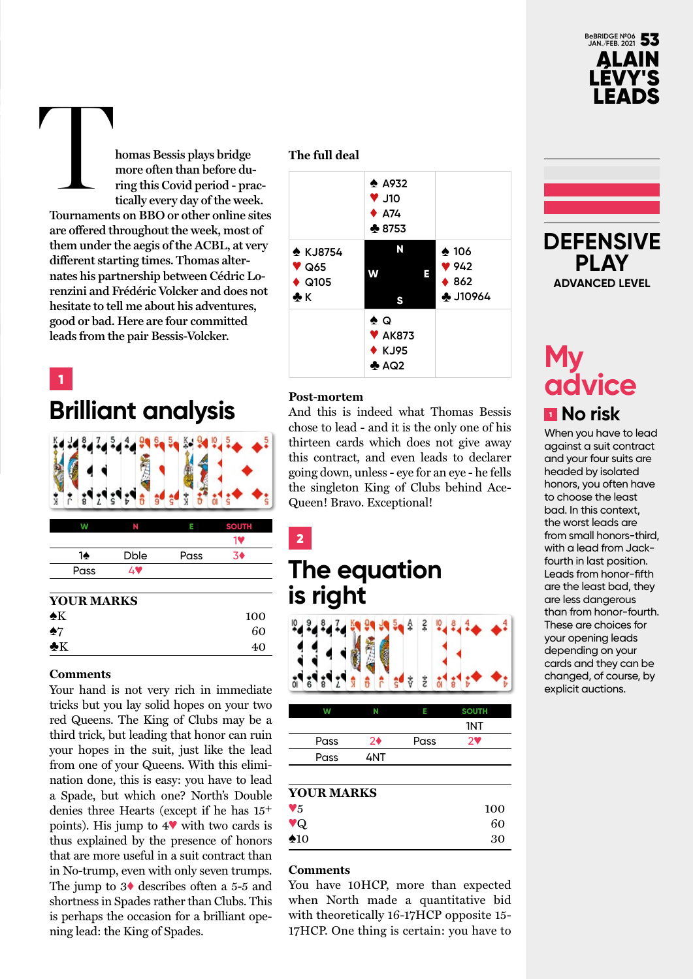

**homas Bessis plays bridge more often than before during this Covid period - practically every day of the week. Tournaments on BBO or other online sites are offered throughout the week, most of them under the aegis of the ACBL, at very different starting times. Thomas alternates his partnership between Cédric Lorenzini and Frédéric Volcker and does not hesitate to tell me about his adventures, good or bad. Here are four committed leads from the pair Bessis-Volcker.** T

1

## **Brilliant analysis**

| w    |             |      | <b>SOUTH</b> |
|------|-------------|------|--------------|
|      |             |      | 19           |
| 1♠   | <b>Dble</b> | Pass | 50           |
| Pass | AV          |      |              |
|      |             |      |              |

#### **YOUR MARKS**

| $\clubsuit K$ | 100 |
|---------------|-----|
| $\clubsuit$ 7 | 60  |
| $\clubsuit K$ | 40  |

#### **Comments**

Your hand is not very rich in immediate tricks but you lay solid hopes on your two red Queens. The King of Clubs may be a third trick, but leading that honor can ruin your hopes in the suit, just like the lead from one of your Queens. With this elimination done, this is easy: you have to lead a Spade, but which one? North's Double denies three Hearts (except if he has 15+ points). His jump to 4♥ with two cards is thus explained by the presence of honors that are more useful in a suit contract than in No-trump, even with only seven trumps. The jump to 3♦ describes often a 5-5 and shortness in Spades rather than Clubs. This is perhaps the occasion for a brilliant opening lead: the King of Spades.

#### **The full deal**



#### **Post-mortem**

2

And this is indeed what Thomas Bessis chose to lead - and it is the only one of his thirteen cards which does not give away this contract, and even leads to declarer going down, unless - eye for an eye - he fells the singleton King of Clubs behind Ace-Queen! Bravo. Exceptional!

## **The equation is right**



|      | N   |      | <b>SOUTH</b> |
|------|-----|------|--------------|
|      |     |      | 1NT          |
| Pass | 2♦  | Pass | 7♥           |
| Pass | 4NT |      |              |
|      |     |      |              |

#### **YOUR MARKS**

| $\blacktriangledown_5$  | 100 |
|-------------------------|-----|
| $\mathbf{v}_\mathrm{Q}$ | 60  |
| $\clubsuit$ 10          | 30  |

#### **Comments**

You have 10HCP, more than expected when North made a quantitative bid with theoretically 16-17HCP opposite 15- 17HCP. One thing is certain: you have to



## **My advice** <sup>1</sup> **No risk**

When you have to lead against a suit contract and your four suits are headed by isolated honors, you often have to choose the least bad. In this context, the worst leads are from small honors-third, with a lead from Jackfourth in last position. Leads from honor-fifth are the least bad, they are less dangerous than from honor-fourth. These are choices for your opening leads depending on your cards and they can be changed, of course, by explicit auctions.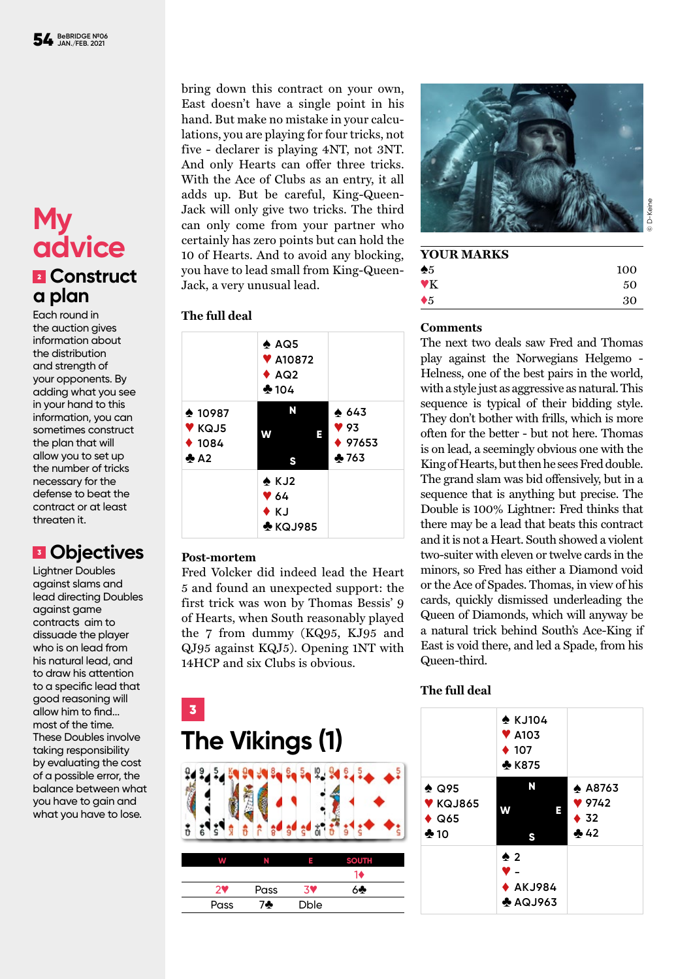## **My advice** <sup>2</sup> **Construct a plan**

Each round in the auction gives information about the distribution and strength of your opponents. By adding what you see in your hand to this information, you can sometimes construct the plan that will allow you to set up the number of tricks necessary for the defense to beat the contract or at least threaten it.

### <sup>3</sup> **Objectives**

Lightner Doubles against slams and lead directing Doubles against game contracts aim to dissuade the player who is on lead from his natural lead, and to draw his attention to a specific lead that good reasoning will allow him to find... most of the time. These Doubles involve taking responsibility by evaluating the cost of a possible error, the balance between what you have to gain and what you have to lose.

bring down this contract on your own, East doesn't have a single point in his hand. But make no mistake in your calculations, you are playing for four tricks, not five - declarer is playing 4NT, not 3NT. And only Hearts can offer three tricks. With the Ace of Clubs as an entry, it all adds up. But be careful, King-Queen-Jack will only give two tricks. The third can only come from your partner who certainly has zero points but can hold the 10 of Hearts. And to avoid any blocking, you have to lead small from King-Queen-Jack, a very unusual lead.

#### **The full deal**

|                                                        | $\triangle$ AQ5<br><b>V</b> A10872<br>$\triangle$ AQ2<br>$*104$ |                                               |
|--------------------------------------------------------|-----------------------------------------------------------------|-----------------------------------------------|
| $*10987$<br><b>V</b> KQJ5<br>$*1084$<br>$\clubsuit$ A2 | N<br>w<br>Е<br>S                                                | $\spadesuit$ 643<br>93<br>$* 97653$<br>$*763$ |
|                                                        | $\triangle$ KJ2<br>964<br>$\bullet$ K.J<br>$\clubsuit$ KQJ985   |                                               |

#### **Post-mortem**

Fred Volcker did indeed lead the Heart 5 and found an unexpected support: the first trick was won by Thomas Bessis' 9 of Hearts, when South reasonably played the 7 from dummy (KQ95, KJ95 and QJ95 against KQJ5). Opening 1NT with 14HCP and six Clubs is obvious.



#### **YOUR MARKS**

| --------------<br>$\clubsuit 5$ | 100 |
|---------------------------------|-----|
| $\mathbf{Y}$                    | 50  |
| $\blacklozenge 5$               | 30  |

#### **Comments**

The next two deals saw Fred and Thomas play against the Norwegians Helgemo - Helness, one of the best pairs in the world, with a style just as aggressive as natural. This sequence is typical of their bidding style. They don't bother with frills, which is more often for the better - but not here. Thomas is on lead, a seemingly obvious one with the King of Hearts, but then he sees Fred double. The grand slam was bid offensively, but in a sequence that is anything but precise. The Double is 100% Lightner: Fred thinks that there may be a lead that beats this contract and it is not a Heart. South showed a violent two-suiter with eleven or twelve cards in the minors, so Fred has either a Diamond void or the Ace of Spades. Thomas, in view of his cards, quickly dismissed underleading the Queen of Diamonds, which will anyway be a natural trick behind South's Ace-King if East is void there, and led a Spade, from his Queen-third.



#### **The full deal**

|                                                           | $\triangle$ KJ104<br>$\blacktriangledown$ A103<br>$\div$ 107<br>♣ K875 |                                                 |
|-----------------------------------------------------------|------------------------------------------------------------------------|-------------------------------------------------|
| $\clubsuit$ Q95<br>$V$ KQJ865<br>$\triangle$ Q65<br>$*10$ | N<br>W<br>E<br>S                                                       | $\triangle$ A8763<br>9742<br>$\bullet$ 32<br>42 |
|                                                           | $\spadesuit$ 2<br>V –<br>$\blacklozenge$ AKJ984<br>$A$ AQJ963          |                                                 |